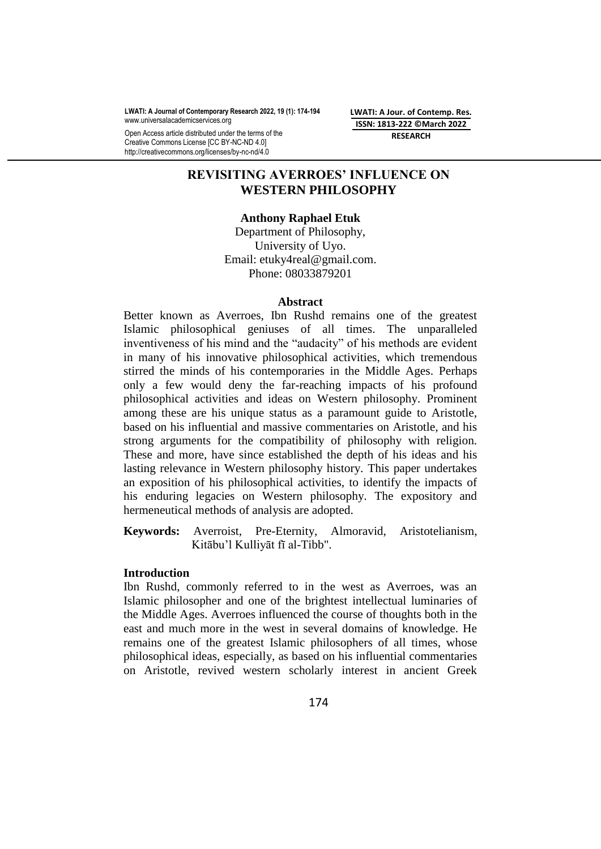**LWATI: A Journal of Contemporary Research 2022, 19 (1): 174-194** www.universalacademicservices.org

Open Access article distributed under the terms of the Creative Commons License [CC BY-NC-ND 4.0] http://creativecommons.org/licenses/by-nc-nd/4.0

**LWATI: A Jour. of Contemp. Res. ISSN: 1813-222 ©March 2022 RESEARCH**

# **REVISITING AVERROES' INFLUENCE ON WESTERN PHILOSOPHY**

## **Anthony Raphael Etuk**

Department of Philosophy, University of Uyo. Email: [etuky4real@gmail.com.](mailto:etuky4real@gmail.com) Phone: 08033879201

## **Abstract**

Better known as Averroes, Ibn Rushd remains one of the greatest Islamic philosophical geniuses of all times. The unparalleled inventiveness of his mind and the "audacity" of his methods are evident in many of his innovative philosophical activities, which tremendous stirred the minds of his contemporaries in the Middle Ages. Perhaps only a few would deny the far-reaching impacts of his profound philosophical activities and ideas on Western philosophy. Prominent among these are his unique status as a paramount guide to Aristotle, based on his influential and massive commentaries on Aristotle, and his strong arguments for the compatibility of philosophy with religion. These and more, have since established the depth of his ideas and his lasting relevance in Western philosophy history. This paper undertakes an exposition of his philosophical activities, to identify the impacts of his enduring legacies on Western philosophy. The expository and hermeneutical methods of analysis are adopted.

**Keywords:** Averroist, Pre-Eternity, Almoravid, Aristotelianism, Kitābu'l Kulliyāt fī al-Tibb".

## **Introduction**

Ibn Rushd, commonly referred to in the west as Averroes, was an Islamic philosopher and one of the brightest intellectual luminaries of the Middle Ages. Averroes influenced the course of thoughts both in the east and much more in the west in several domains of knowledge. He remains one of the greatest Islamic philosophers of all times, whose philosophical ideas, especially, as based on his influential commentaries on [Aristotle,](https://iep.utm.edu/aristotl/) revived western scholarly interest in ancient Greek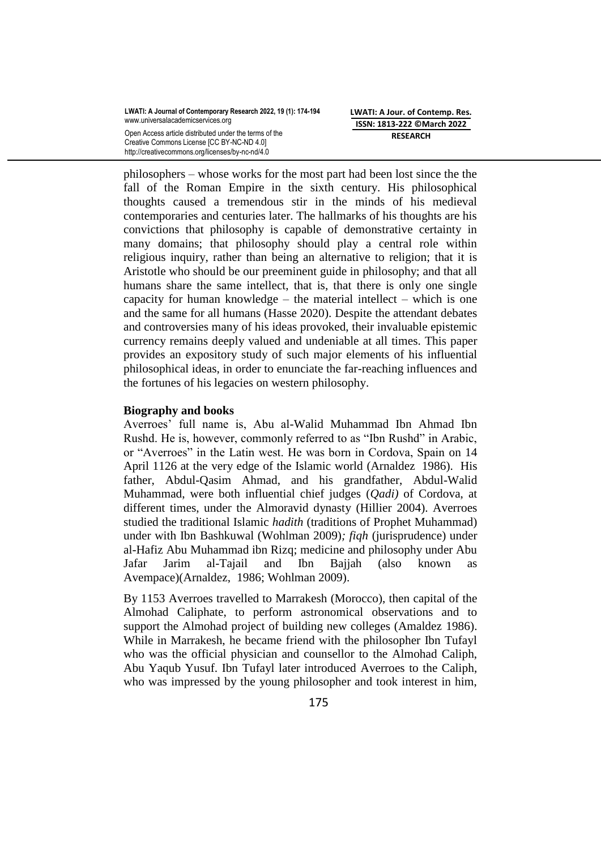Creative Commons License [CC BY-NC-ND 4.0] http://creativecommons.org/licenses/by-nc-nd/4.0 **LWATI: A Jour. of Contemp. Res. ISSN: 1813-222 ©March 2022 RESEARCH**

philosophers – whose works for the most part had been lost since the the fall of the Roman Empire in the sixth century. His philosophical thoughts caused a tremendous stir in the minds of his medieval contemporaries and centuries later. The hallmarks of his thoughts are his convictions that philosophy is capable of demonstrative certainty in many domains; that philosophy should play a central role within religious inquiry, rather than being an alternative to religion; that it is Aristotle who should be our preeminent guide in philosophy; and that all humans share the same intellect, that is, that there is only one single capacity for human knowledge – the material intellect – which is one and the same for all humans (Hasse 2020). Despite the attendant debates and controversies many of his ideas provoked, their invaluable epistemic currency remains deeply valued and undeniable at all times. This paper provides an expository study of such major elements of his influential philosophical ideas, in order to enunciate the far-reaching influences and the fortunes of his legacies on western philosophy.

## **Biography and books**

Averroes' full name is, Abu al-Walid Muhammad Ibn Ahmad Ibn Rushd. He is, however, commonly referred to as "Ibn Rushd" in Arabic, or "Averroes" in the Latin west. He was born in Cordova, Spain on 14 April 1126 at the very edge of the Islamic world [\(Arnaldez](https://en.wikipedia.org/wiki/Roger_Arnaldez) 1986). His father, Abdul-Qasim Ahmad, and his grandfather, Abdul-Walid Muhammad, were both influential chief judges (*Qadi)* of Cordova, at different times, under the Almoravid dynasty (Hillier 2004). Averroes studied the traditional Islamic *hadith* (traditions of Prophet [Muhammad\)](https://en.wikipedia.org/wiki/Muhammad) under with Ibn Bashkuwal (Wohlman 2009)*; fiqh* [\(jurisprudence\)](https://en.wikipedia.org/wiki/Islamic_jurisprudence) under al-Hafiz Abu Muhammad ibn Rizq; medicine and philosophy under Abu Jafar Jarim al-Tajail and Ibn Bajjah (also known as Avempace)[\(Arnaldez,](https://en.wikipedia.org/wiki/Roger_Arnaldez) 1986; Wohlman 2009).

By 1153 Averroes travelled to [Marrakesh](https://en.wikipedia.org/wiki/Marrakesh) (Morocco), then capital of the Almohad Caliphate, to perform astronomical observations and to support the Almohad project of building new colleges (Amaldez 1986). While in Marrakesh, he became friend with the philosopher Ibn Tufayl who was the official physician and counsellor to the Almohad Caliph, [Abu Yaqub Yusuf.](https://en.wikipedia.org/wiki/Abu_Yaqub_Yusuf) Ibn Tufayl later introduced Averroes to the Caliph, who was impressed by the young philosopher and took interest in him,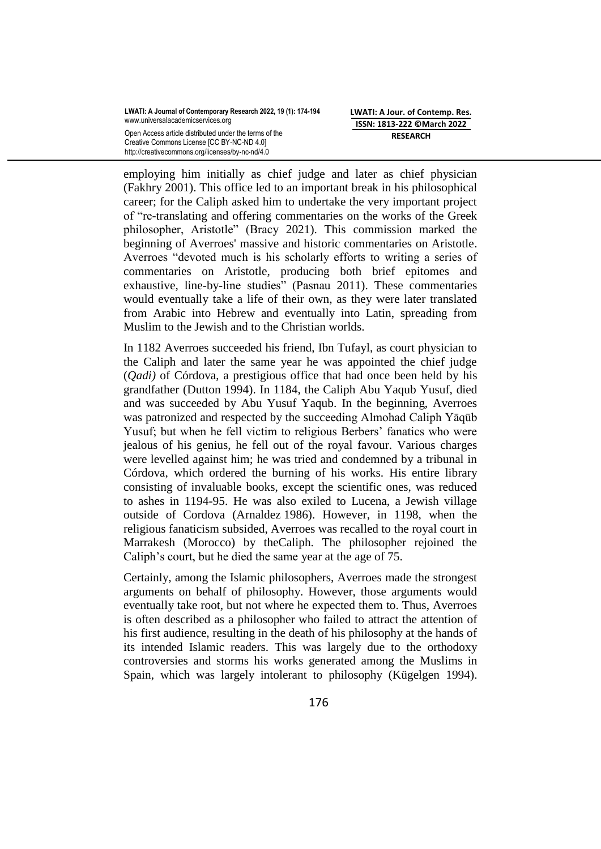Creative Commons License [CC BY-NC-ND 4.0] http://creativecommons.org/licenses/by-nc-nd/4.0 **LWATI: A Jour. of Contemp. Res. ISSN: 1813-222 ©March 2022 RESEARCH**

employing him initially as chief judge and later as chief physician (Fakhry 2001). This office led to an important break in his philosophical career; for the Caliph asked him to undertake the very important project of "re-translating and offering commentaries on the works of the Greek philosopher, Aristotle" (Bracy 2021). This commission marked the beginning of Averroes' massive and historic commentaries on Aristotle. Averroes "devoted much is his scholarly efforts to writing a series of commentaries on Aristotle, producing both brief epitomes and exhaustive, line-by-line studies" (Pasnau 2011). These commentaries would eventually take a life of their own, as they were later translated from Arabic into Hebrew and eventually into Latin, spreading from Muslim to the Jewish and to the Christian worlds.

In 1182 Averroes succeeded his friend, Ibn Tufayl, as court physician to the Caliph and later the same year he was appointed the chief judge (*Qadi)* of Córdova, a prestigious office that had once been held by his grandfather [\(Dutton](https://en.wikipedia.org/wiki/Averroes#CITEREFDutton1994) 1994). In 1184, the Caliph Abu Yaqub Yusuf, died and was succeeded by Abu Yusuf Yaqub. In the beginning, Averroes was patronized and respected by the succeeding Almohad Caliph Yāqūb Yusuf; but when he fell victim to religious Berbers' fanatics who were jealous of his genius, he fell out of the royal favour. Various charges were levelled against him; he was tried and condemned by a tribunal in Córdova, which ordered the burning of his works. His entire library consisting of invaluable books, except the scientific ones, was reduced to ashes in 1194-95. He was also exiled to Lucena, a Jewish village outside of Cordova [\(Arnaldez](https://en.wikipedia.org/wiki/Averroes#CITEREFArnaldez1986) 1986). However, in 1198, when the religious fanaticism subsided, Averroes was recalled to the royal court in Marrakesh (Morocco) by theCaliph. The philosopher rejoined the Caliph's court, but he died the same year at the age of 75.

Certainly, among the Islamic philosophers, Averroes made the strongest arguments on behalf of philosophy. However, those arguments would eventually take root, but not where he expected them to. Thus, Averroes is often described as a philosopher who failed to attract the attention of his first audience, resulting in the death of his philosophy at the hands of its intended Islamic readers. This was largely due to the orthodoxy controversies and storms his works generated among the Muslims in Spain, which was largely intolerant to philosophy (Kügelgen 1994).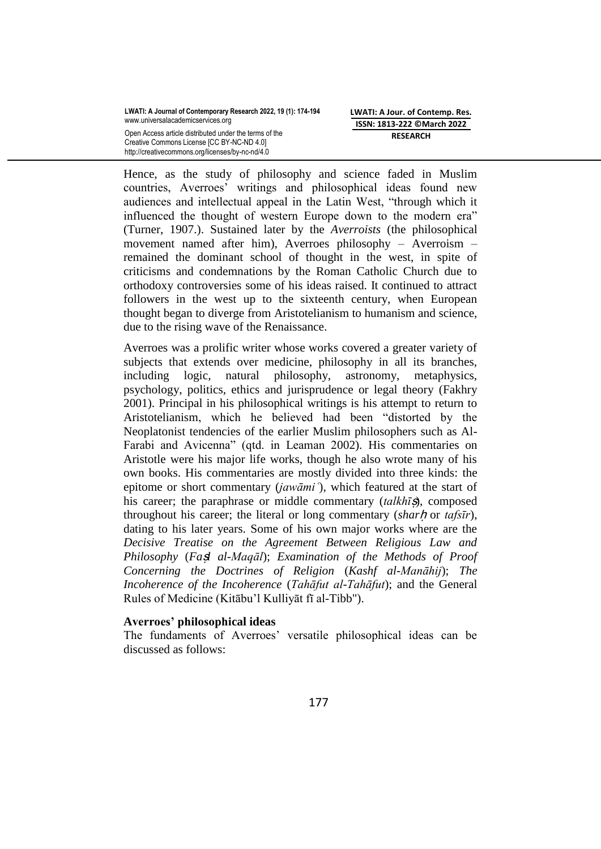Creative Commons License [CC BY-NC-ND 4.0] http://creativecommons.org/licenses/by-nc-nd/4.0 **LWATI: A Jour. of Contemp. Res. ISSN: 1813-222 ©March 2022 RESEARCH**

Hence, as the study of philosophy and science faded in Muslim countries, Averroes' writings and philosophical ideas found new audiences and intellectual appeal in the Latin West, "through which it influenced the thought of western Europe down to the modern era" (Turner, 1907.). Sustained later by the *Averroists* (the philosophical movement named after him), Averroes philosophy – Averroism – remained the dominant school of thought in the west, in spite of criticisms and condemnations by the Roman Catholic Church due to orthodoxy controversies some of his ideas raised. It continued to attract followers in the west up to the sixteenth century, when European thought began to diverge from Aristotelianism to humanism and science, due to the rising wave of the Renaissance.

Averroes was a prolific writer whose works covered a greater variety of subjects that extends over medicine, philosophy in all its branches, including logic, natural philosophy, astronomy, metaphysics, psychology, politics, ethics and jurisprudence or legal theory [\(Fakhry](https://en.wikipedia.org/wiki/Averroes#CITEREFFakhry2001)  [2001\)](https://en.wikipedia.org/wiki/Averroes#CITEREFFakhry2001). Principal in his philosophical writings is his attempt to return to [Aristotelianism,](https://en.wikipedia.org/wiki/Aristotelianism) which he believed had been "distorted by the Neoplatonist tendencies of the earlier Muslim philosophers such as Al-Farabi and Avicenna" (qtd. in Leaman 2002). His commentaries on Aristotle were his major life works, though he also wrote many of his own books. His commentaries are mostly divided into three kinds: the epitome or short commentary (*jawāmi* '), which featured at the start of his career; the paraphrase or middle commentary *(talkhīs)*, composed throughout his career; the literal or long commentary *(sharh or tafsir)*, dating to his later years. Some of his own major works where are the *Decisive Treatise on the Agreement Between Religious Law and Philosophy* (*Fa*ṣ*l al-Maqāl*); *Examination of the Methods of Proof Concerning the Doctrines of Religion* (*Kashf al-Manāhij*); *The Incoherence of the Incoherence* (*Tahāfut al-Tahāfut*); and the General Rules of Medicine (Kitābu'l Kulliyāt fī al-Tibb").

# **Averroes' philosophical ideas**

The fundaments of Averroes' versatile philosophical ideas can be discussed as follows: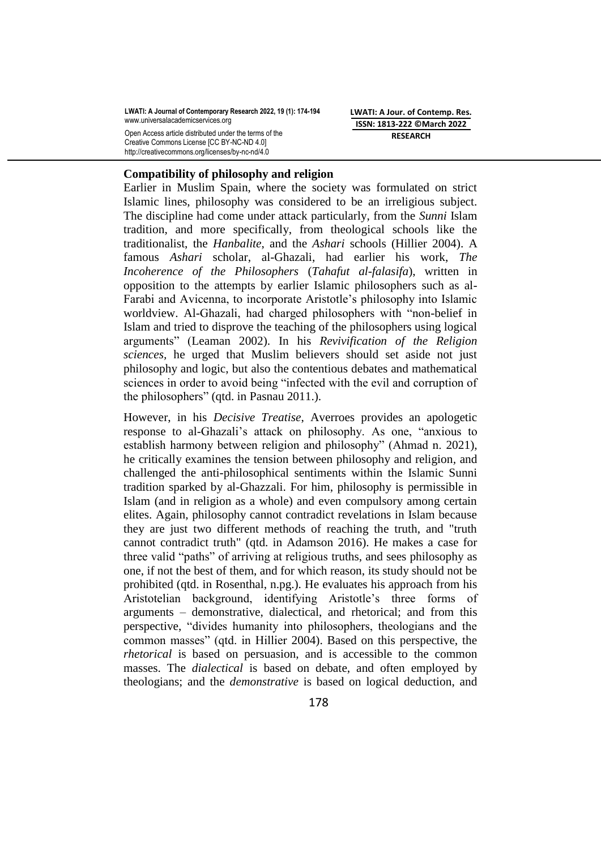Creative Commons License [CC BY-NC-ND 4.0] http://creativecommons.org/licenses/by-nc-nd/4.0 **LWATI: A Jour. of Contemp. Res. ISSN: 1813-222 ©March 2022 RESEARCH**

## **Compatibility of philosophy and religion**

Earlier in Muslim Spain, where the society was formulated on strict Islamic lines, philosophy was considered to be an irreligious subject. The discipline had come under attack particularly, from the *[Sunni](https://en.wikipedia.org/wiki/Sunni)* Islam tradition, and more specifically, from theological schools like the [traditionalist, the](https://en.wikipedia.org/wiki/Traditionalist_theology_(Islam)) *Hanbalite*, and the *[Ashari](https://en.wikipedia.org/wiki/Ashari_theology)* schools (Hillier 2004). A famous *Ashari* scholar, [al-Ghazali,](https://en.wikipedia.org/wiki/Al-Ghazali) had earlier his work, *The Incoherence of the Philosophers* (*Tahafut al-falasifa*), written in opposition to the attempts by earlier Islamic philosophers such as al-Farabi and Avicenna, to incorporate Aristotle's philosophy into Islamic worldview. Al-Ghazali, had charged philosophers with "non-belief in Islam and tried to disprove the teaching of the philosophers using logical arguments‖ (Leaman 2002). In his *Revivification of the Religion sciences,* he urged that Muslim believers should set aside not just philosophy and logic, but also the contentious debates and mathematical sciences in order to avoid being "infected with the evil and corruption of the philosophers" (qtd. in Pasnau 2011.).

However, in his *Decisive Treatise*, Averroes provides an apologetic response to al-Ghazali's attack on philosophy. As one, "anxious to establish harmony between religion and philosophy" (Ahmad n. 2021), he critically examines the tension between philosophy and religion*,* and challenged the anti-philosophical sentiments within the Islamic Sunni tradition sparked by al-Ghazzali. For him, philosophy is permissible in Islam (and in religion as a whole) and even compulsory among certain elites. Again, philosophy cannot contradict revelations in Islam because they are just two different methods of reaching the truth, and "truth cannot contradict truth" (qtd. in Adamson 2016). He makes a case for three valid "paths" of arriving at religious truths, and sees philosophy as one, if not the best of them, and for which reason, its study should not be prohibited (qtd. in Rosenthal, n.pg.). He evaluates his approach from his Aristotelian background, identifying Aristotle's three forms of arguments – demonstrative, dialectical, and [rhetorical;](https://www.merriam-webster.com/dictionary/rhetorical) and from this perspective, "divides humanity into philosophers, theologians and the common masses" (qtd. in Hillier 2004). Based on this perspective, the *[rhetorical](https://en.wikipedia.org/wiki/Rhetoric)* is based on persuasion, and is accessible to the common masses. The *[dialectical](https://en.wikipedia.org/wiki/Dialectic)* is based on debate, and often employed by theologians; and the *demonstrative* is based on logical deduction, and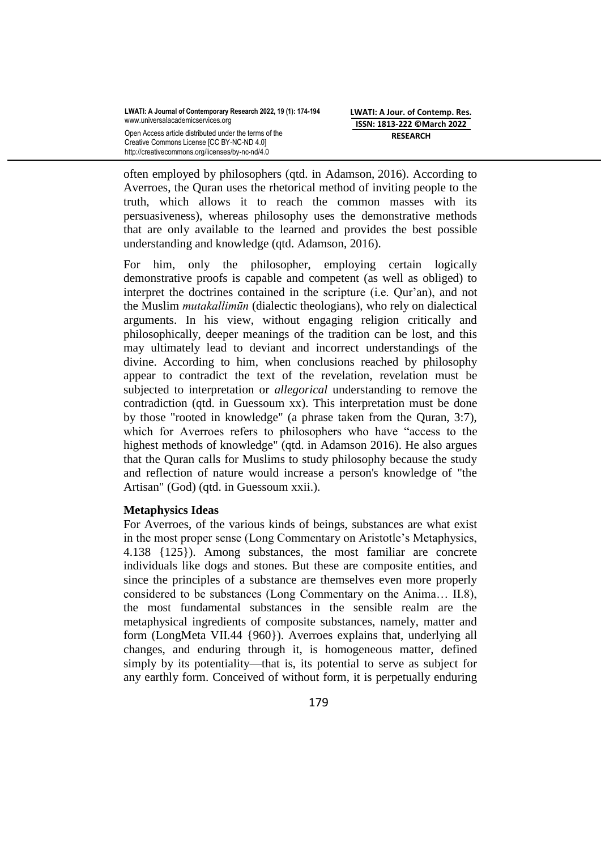**LWATI: A Jour. of Contemp. Res. ISSN: 1813-222 ©March 2022 RESEARCH**

often employed by philosophers (qtd. in [Adamson,](https://en.wikipedia.org/wiki/Averroes#CITEREFAdamson2016) 2016). According to Averroes, the Quran uses the rhetorical method of inviting people to the truth, which allows it to reach the common masses with its persuasiveness), whereas philosophy uses the demonstrative methods that are only available to the learned and provides the best possible understanding and knowledge (qtd. [Adamson,](https://en.wikipedia.org/wiki/Averroes#CITEREFAdamson2016) 2016).

For him, only the philosopher, employing certain logically demonstrative proofs is capable and competent (as well as obliged) to interpret the doctrines contained in the scripture (i.e. Qur'an), and not the Muslim *[mutakallimūn](https://www.britannica.com/topic/mutakallimun)* (dialectic theologians), who rely on [dialectical](https://www.britannica.com/topic/dialectic-logic) arguments. In his view, without engaging religion critically and philosophically, deeper meanings of the tradition can be lost, and this may ultimately lead to deviant and incorrect understandings of the divine. According to him, when conclusions reached by philosophy appear to contradict the text of the revelation, revelation must be subjected to interpretation or *allegorical* understanding to remove the contradiction (qtd. in [Guessoum xx\).](https://en.wikipedia.org/wiki/Nidhal_Guessoum) This interpretation must be done by those "rooted in knowledge" (a phrase taken from the Quran, 3:7), which for Averroes refers to philosophers who have "access to the highest methods of knowledge" (qtd. in Adamson 2016). He also argues that the Quran calls for Muslims to study philosophy because the study and reflection of nature would increase a person's knowledge of "the Artisan" (God) (qtd. in [Guessoum](https://en.wikipedia.org/wiki/Averroes#CITEREFGuessoum2011) xxii.).

# **Metaphysics Ideas**

For Averroes, of the various kinds of beings, substances are what exist in the most proper sense (Long Commentary on Aristotle's Metaphysics, 4.138 {125}). Among substances, the most familiar are concrete individuals like dogs and stones. But these are composite entities, and since the principles of a substance are themselves even more properly considered to be substances (Long Commentary on the Anima… II.8), the most fundamental substances in the sensible realm are the metaphysical ingredients of composite substances, namely, matter and form (LongMeta VII.44 {960}). Averroes explains that, underlying all changes, and enduring through it, is homogeneous matter, defined simply by its potentiality—that is, its potential to serve as subject for any earthly form. Conceived of without form, it is perpetually enduring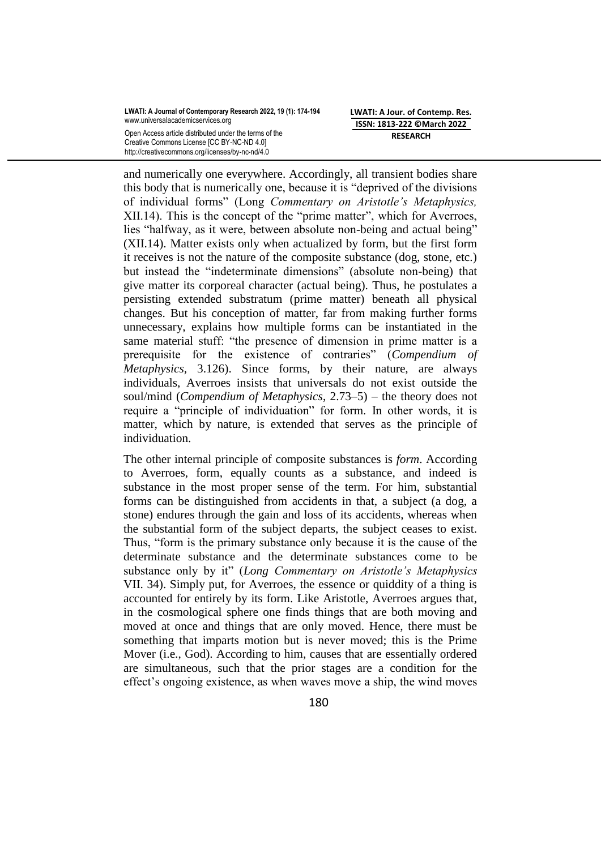Creative Commons License [CC BY-NC-ND 4.0] http://creativecommons.org/licenses/by-nc-nd/4.0 **LWATI: A Jour. of Contemp. Res. ISSN: 1813-222 ©March 2022 RESEARCH**

and numerically one everywhere. Accordingly, all transient bodies share this body that is numerically one, because it is "deprived of the divisions" of individual forms‖ (Long *Commentary on Aristotle's Metaphysics,*  XII.14). This is the concept of the "prime matter", which for Averroes, lies "halfway, as it were, between absolute non-being and actual being" (XII.14). Matter exists only when actualized by form, but the first form it receives is not the nature of the composite substance (dog, stone, etc.) but instead the "indeterminate dimensions" (absolute non-being) that give matter its corporeal character (actual being). Thus, he postulates a persisting extended substratum (prime matter) beneath all physical changes. But his conception of matter, far from making further forms unnecessary, explains how multiple forms can be instantiated in the same material stuff: "the presence of dimension in prime matter is a prerequisite for the existence of contraries" (*Compendium of Metaphysics,* 3.126). Since forms, by their nature, are always individuals, Averroes insists that universals do not exist outside the soul/mind (*Compendium of Metaphysics*, 2.73–5) – the theory does not require a "principle of individuation" for form. In other words, it is matter, which by nature, is extended that serves as the principle of individuation.

The other internal principle of composite substances is *form*. According to Averroes, form, equally counts as a substance, and indeed is substance in the most proper sense of the term. For him, substantial forms can be distinguished from accidents in that, a subject (a dog, a stone) endures through the gain and loss of its accidents, whereas when the substantial form of the subject departs, the subject ceases to exist. Thus, "form is the primary substance only because it is the cause of the determinate substance and the determinate substances come to be substance only by it" (*Long Commentary on Aristotle's Metaphysics* VII. 34). Simply put, for Averroes, the essence or quiddity of a thing is accounted for entirely by its form. Like Aristotle, Averroes argues that, in the cosmological sphere one finds things that are both moving and moved at once and things that are only moved. Hence, there must be something that imparts motion but is never moved; this is the Prime Mover (i.e., God). According to him, causes that are essentially ordered are simultaneous, such that the prior stages are a condition for the effect's ongoing existence, as when waves move a ship, the wind moves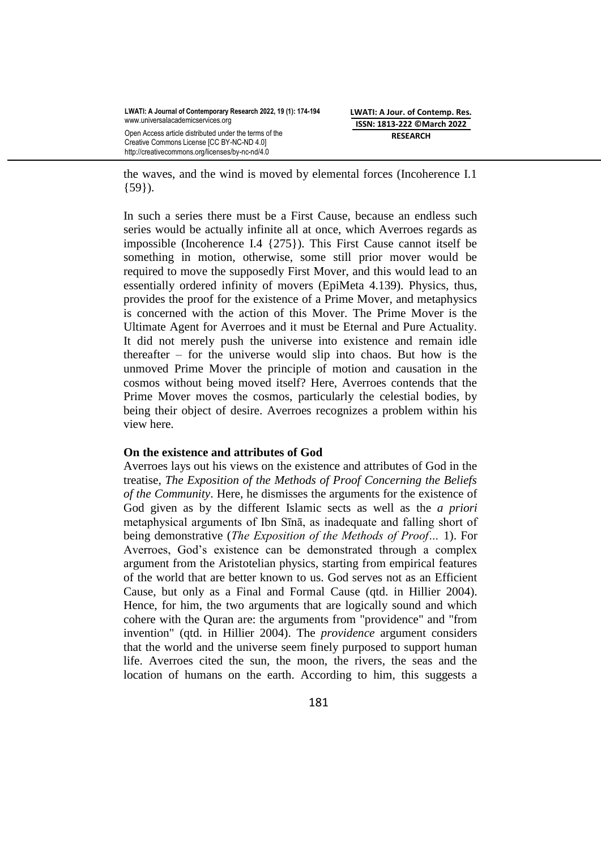the waves, and the wind is moved by elemental forces (Incoherence I.1 {59}).

In such a series there must be a First Cause, because an endless such series would be actually infinite all at once, which Averroes regards as impossible (Incoherence I.4 {275}). This First Cause cannot itself be something in motion, otherwise, some still prior mover would be required to move the supposedly First Mover, and this would lead to an essentially ordered infinity of movers (EpiMeta 4.139). Physics, thus, provides the proof for the existence of a Prime Mover, and metaphysics is concerned with the action of this Mover. The Prime Mover is the Ultimate Agent for Averroes and it must be Eternal and Pure Actuality. It did not merely push the universe into existence and remain idle thereafter – for the universe would slip into chaos. But how is the unmoved Prime Mover the principle of motion and causation in the cosmos without being moved itself? Here, Averroes contends that the Prime Mover moves the cosmos, particularly the celestial bodies, by being their object of desire. Averroes recognizes a problem within his view here.

## **On the existence and attributes of God**

Averroes lays out his views on the existence and attributes of God in the treatise, *The Exposition of the Methods of Proof Concerning the Beliefs of the Community*. Here, he dismisses the arguments for the existence of God given as by the different Islamic sects as well as the *a priori* metaphysical arguments of Ibn Sīnā, as inadequate and falling short of being demonstrative (*The Exposition of the Methods of Proof…* 1). For Averroes, God's existence can be demonstrated through a complex argument from the Aristotelian physics, starting from empirical features of the world that are better known to us. God serves not as an Efficient Cause, but only as a Final and Formal Cause (qtd. in Hillier 2004). Hence, for him, the two arguments that are logically sound and which cohere with the Quran are: the arguments from "providence" and "from invention" (qtd. in Hillier 2004). The *providence* argument considers that the world and the universe seem [finely purposed to support human](https://en.wikipedia.org/wiki/Fine-tuned_universe)  [life.](https://en.wikipedia.org/wiki/Fine-tuned_universe) Averroes cited the sun, the moon, the rivers, the seas and the location of humans on the earth. According to him, this suggests a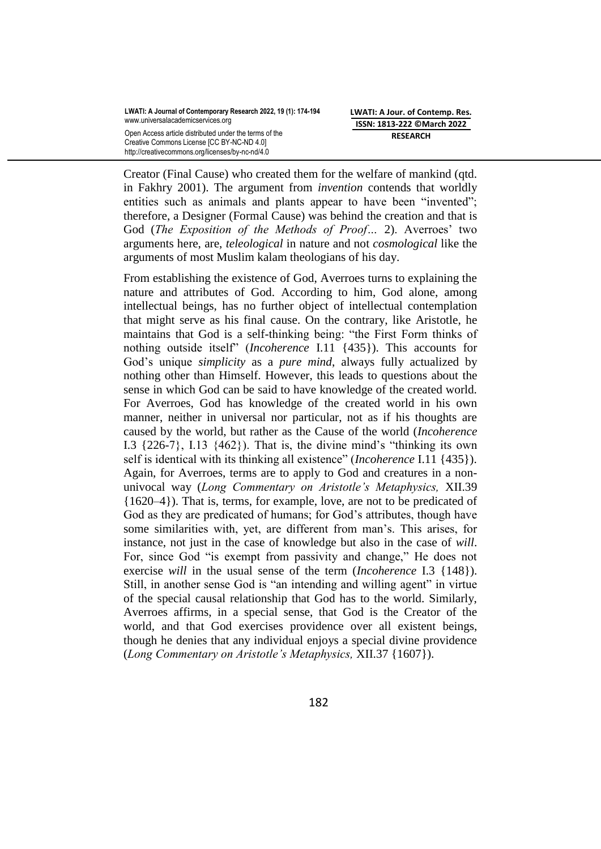Creator (Final Cause) who created them for the welfare of mankind (qtd. in Fakhry 2001). The argument from *invention* contends that worldly entities such as animals and plants appear to have been "invented"; therefore, a Designer (Formal Cause) was behind the creation and that is God (*The Exposition of the Methods of Proof…* 2). Averroes' two arguments here, are, *[teleological](https://en.wikipedia.org/wiki/Teleological_argument)* in nature and not *[cosmological](https://en.wikipedia.org/wiki/Cosmological_argument)* like the arguments of most Muslim kalam theologians of his day.

From establishing the existence of God, Averroes turns to explaining the nature and attributes of God. According to him, God alone, among intellectual beings, has no further object of intellectual contemplation that might serve as his final cause. On the contrary, like Aristotle, he maintains that God is a self-thinking being: "the First Form thinks of nothing outside itself<sup>"</sup> (*Incoherence* I.11 {435}). This accounts for God's unique *simplicity* as a *pure mind*, always fully actualized by nothing other than Himself. However, this leads to questions about the sense in which God can be said to have knowledge of the created world. For Averroes, God has knowledge of the created world in his own manner, neither in universal nor particular, not as if his thoughts are caused by the world, but rather as the Cause of the world (*Incoherence* I.3  $\{226-7\}$ , I.13  $\{462\}$ ). That is, the divine mind's "thinking its own self is identical with its thinking all existence" (*Incoherence* I.11 {435}). Again, for Averroes, terms are to apply to God and creatures in a nonunivocal way (*Long Commentary on Aristotle's Metaphysics,* XII.39 {1620–4}). That is, terms, for example, love, are not to be predicated of God as they are predicated of humans; for God's attributes, though have some similarities with, yet, are different from man's. This arises, for instance, not just in the case of knowledge but also in the case of *will*. For, since God "is exempt from passivity and change," He does not exercise *will* in the usual sense of the term (*Incoherence* I.3 {148}). Still, in another sense God is "an intending and willing agent" in virtue of the special causal relationship that God has to the world. Similarly, Averroes affirms, in a special sense, that God is the Creator of the world, and that God exercises providence over all existent beings, though he denies that any individual enjoys a special divine providence (*Long Commentary on Aristotle's Metaphysics,* XII.37 {1607}).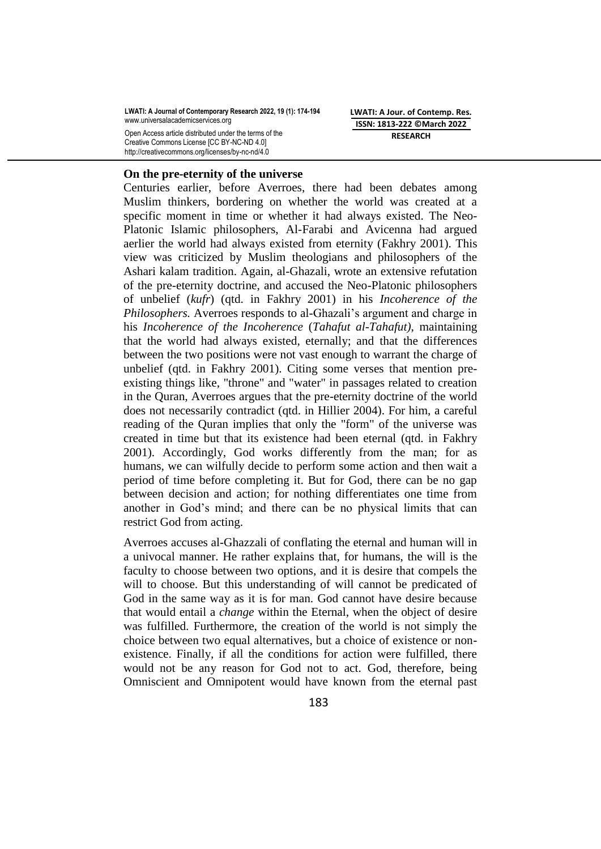**LWATI: A Journal of Contemporary Research 2022, 19 (1): 174-194** www.universalacademicservices.org

Open Access article distributed under the terms of the Creative Commons License [CC BY-NC-ND 4.0] http://creativecommons.org/licenses/by-nc-nd/4.0

**LWATI: A Jour. of Contemp. Res. ISSN: 1813-222 ©March 2022 RESEARCH**

#### **On the pre-eternity of the universe**

Centuries earlier, before Averroes, there had been debates among Muslim thinkers, bordering on whether the world was created at a specific moment in time or whether it had [always existed.](https://en.wikipedia.org/wiki/Eternity_of_the_universe) The Neo-Platonic Islamic philosophers, Al-Farabi and Avicenna had argued aerlier the world had always existed from eternity [\(Fakhry 2001\)](https://en.wikipedia.org/wiki/Averroes#CITEREFFakhry2001). This view was criticized by Muslim theologians and philosophers of the Ashari kalam tradition. Again, al-Ghazali, wrote an extensive refutation of the pre-eternity doctrine, and accused the Neo-Platonic philosophers of unbelief (*[kufr](https://en.wikipedia.org/wiki/Kufr)*) (qtd. in [Fakhry 2001\)](https://en.wikipedia.org/wiki/Averroes#CITEREFFakhry2001) in his *[Incoherence of the](https://en.wikipedia.org/wiki/Incoherence_of_the_Philosophers)  [Philosophers.](https://en.wikipedia.org/wiki/Incoherence_of_the_Philosophers)* Averroes responds to al-Ghazali's argument and charge in his *[Incoherence of the Incoherence](https://en.wikipedia.org/wiki/Incoherence_of_the_Incoherence)* (*Tahafut al-Tahafut)*, maintaining that the world had always existed, eternally; and that the differences between the two positions were not vast enough to warrant the charge of unbelief (qtd. in [Fakhry 2001\)](https://en.wikipedia.org/wiki/Averroes#CITEREFFakhry2001). Citing some verses that mention preexisting things like, "throne" and "water" in passages related to creation in the Quran, Averroes argues that the pre-eternity doctrine of the world does not necessarily contradict (qtd. in Hillier 2004). For him, a careful reading of the Quran implies that only the "form" of the universe was created in time but that its existence had been eternal (qtd. in [Fakhry](https://en.wikipedia.org/wiki/Averroes#CITEREFFakhry2001)  [2001\)](https://en.wikipedia.org/wiki/Averroes#CITEREFFakhry2001). Accordingly, God works differently from the man; for as humans, we can wilfully decide to perform some action and then wait a period of time before completing it. But for God, there can be no gap between decision and action; for nothing differentiates one time from another in God's mind; and there can be no physical limits that can restrict God from acting.

Averroes accuses al-Ghazzali of conflating the eternal and human will in a univocal manner. He rather explains that, for humans, the will is the faculty to choose between two options, and it is desire that compels the will to choose. But this understanding of will cannot be predicated of God in the same way as it is for man. God cannot have desire because that would entail a *change* within the Eternal, when the object of desire was fulfilled. Furthermore, the creation of the world is not simply the choice between two equal alternatives, but a choice of existence or nonexistence. Finally, if all the conditions for action were fulfilled, there would not be any reason for God not to act. God, therefore, being Omniscient and Omnipotent would have known from the eternal past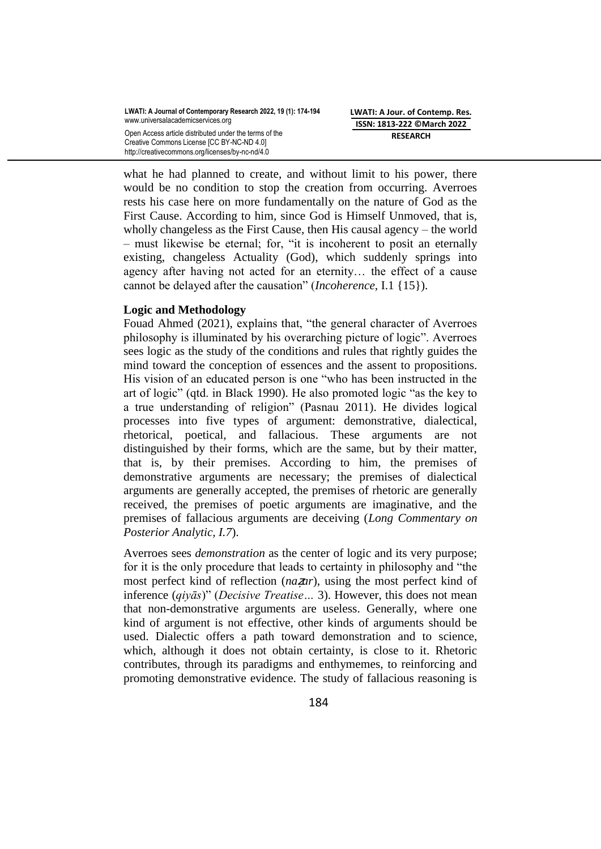Creative Commons License [CC BY-NC-ND 4.0] http://creativecommons.org/licenses/by-nc-nd/4.0 **LWATI: A Jour. of Contemp. Res. ISSN: 1813-222 ©March 2022 RESEARCH**

what he had planned to create, and without limit to his power, there would be no condition to stop the creation from occurring. Averroes rests his case here on more fundamentally on the nature of God as the First Cause. According to him, since God is Himself Unmoved, that is, wholly changeless as the First Cause, then His causal agency – the world  $-$  must likewise be eternal; for, "it is incoherent to posit an eternally existing, changeless Actuality (God), which suddenly springs into agency after having not acted for an eternity… the effect of a cause cannot be delayed after the causation" (*Incoherence*, I.1 {15}).

## **Logic and Methodology**

Fouad Ahmed (2021), explains that, "the general character of Averroes philosophy is illuminated by his overarching picture of logic". Averroes sees logic as the study of the conditions and rules that rightly guides the mind toward the conception of essences and the assent to propositions. His vision of an educated person is one "who has been instructed in the art of logic" (qtd. in Black 1990). He also promoted logic "as the key to a true understanding of religion" (Pasnau 2011). He divides logical processes into five types of argument: demonstrative, dialectical, rhetorical, poetical, and fallacious. These arguments are not distinguished by their forms, which are the same, but by their matter, that is, by their premises. According to him, the premises of demonstrative arguments are necessary; the premises of dialectical arguments are generally accepted, the premises of rhetoric are generally received, the premises of poetic arguments are imaginative, and the premises of fallacious arguments are deceiving (*Long Commentary on Posterior Analytic, I.7*).

Averroes sees *demonstration* as the center of logic and its very purpose; for it is the only procedure that leads to certainty in philosophy and "the most perfect kind of reflection (*na***z***ar*), using the most perfect kind of inference (*qiyās*)" (*Decisive Treatise* ... 3). However, this does not mean that non-demonstrative arguments are useless. Generally, where one kind of argument is not effective, other kinds of arguments should be used. Dialectic offers a path toward demonstration and to science, which, although it does not obtain certainty, is close to it. Rhetoric contributes, through its paradigms and enthymemes, to reinforcing and promoting demonstrative evidence. The study of fallacious reasoning is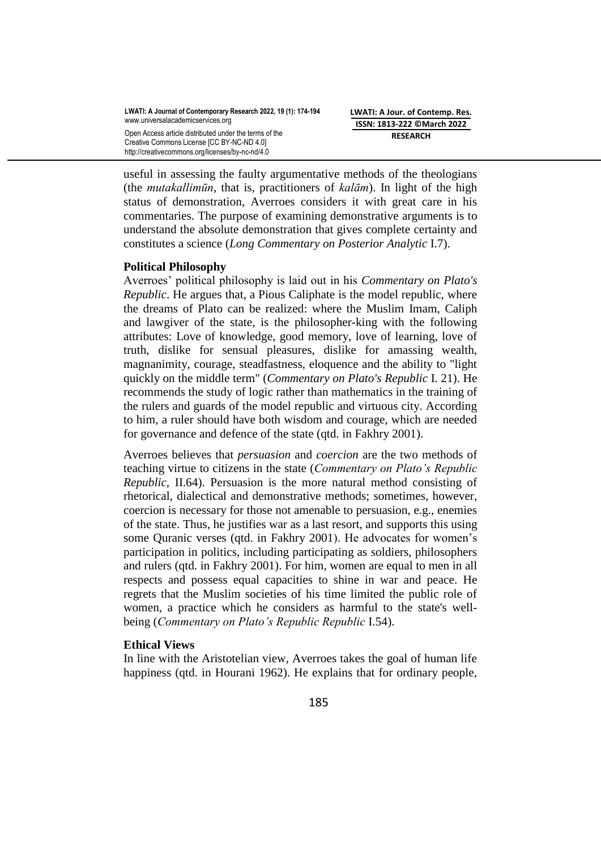Creative Commons License [CC BY-NC-ND 4.0] http://creativecommons.org/licenses/by-nc-nd/4.0 **LWATI: A Jour. of Contemp. Res. ISSN: 1813-222 ©March 2022 RESEARCH**

useful in assessing the faulty argumentative methods of the theologians (the *mutakallimūn*, that is, practitioners of *kalām*). In light of the high status of demonstration, Averroes considers it with great care in his commentaries. The purpose of examining demonstrative arguments is to understand the absolute demonstration that gives complete certainty and constitutes a science (*Long Commentary on Posterior Analytic* I.7).

## **Political Philosophy**

Averroes' political philosophy is laid out in his *Commentary on Plato's Republic*. He argues that, a Pious Caliphate is the model republic, where the dreams of Plato can be realized: where the Muslim [Imam,](https://en.wikipedia.org/wiki/Imam) [Caliph](https://en.wikipedia.org/wiki/Caliph) and lawgiver of the state, is the [philosopher-king](https://en.wikipedia.org/wiki/Philosopher-king) with the following attributes: Love of knowledge, good memory, love of learning, love of truth, dislike for sensual pleasures, dislike for amassing wealth, magnanimity, courage, steadfastness, eloquence and the ability to "light quickly on the [middle term"](https://en.wikipedia.org/wiki/Middle_term) (*Commentary on Plato's Republic* I. 21). He recommends the study of logic rather than mathematics in the training of the rulers and guards of the model republic and virtuous city. According to him, a ruler should have both wisdom and courage, which are needed for governance and defence of the state (qtd. in Fakhry 2001).

Averroes believes that *persuasion* and *coercion* are the two methods of teaching virtue to citizens in the state (*Commentary on Plato's Republic Republic,* II.64). Persuasion is the more natural method consisting of rhetorical, dialectical and demonstrative methods; sometimes, however, coercion is necessary for those not amenable to persuasion, e.g., enemies of the state. Thus, he justifies war as a last resort, and supports this using some Quranic verses (qtd. in Fakhry 2001). He advocates for women's participation in politics, including participating as soldiers, philosophers and rulers (qtd. in Fakhry 2001). For him, women are equal to men in all respects and possess equal capacities to shine in war and peace. He regrets that the Muslim societies of his time limited the public role of women, a practice which he considers as harmful to the state's wellbeing (*Commentary on Plato's Republic Republic* I.54).

## **Ethical Views**

In line with the Aristotelian view, Averroes takes the goal of human life happiness (qtd. in Hourani 1962). He explains that for ordinary people,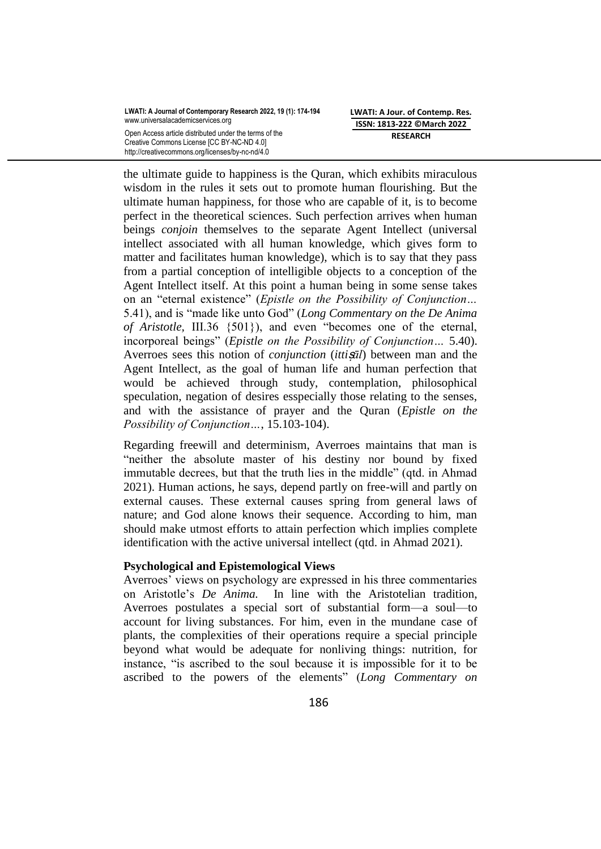Creative Commons License [CC BY-NC-ND 4.0] http://creativecommons.org/licenses/by-nc-nd/4.0 **LWATI: A Jour. of Contemp. Res. ISSN: 1813-222 ©March 2022 RESEARCH**

the ultimate guide to happiness is the Quran, which exhibits miraculous wisdom in the rules it sets out to promote human flourishing. But the ultimate human happiness, for those who are capable of it, is to become perfect in the theoretical sciences. Such perfection arrives when human beings *conjoin* themselves to the separate Agent Intellect (universal intellect associated with all human knowledge, which gives form to matter and facilitates human knowledge), which is to say that they pass from a partial conception of intelligible objects to a conception of the Agent Intellect itself. At this point a human being in some sense takes on an "eternal existence" (*Epistle on the Possibility of Conjunction*... 5.41), and is "made like unto God" (*Long Commentary on the De Anima of Aristotle, III.36 {501}), and even "becomes one of the eternal,* incorporeal beings‖ (*Epistle on the Possibility of Conjunction…* 5.40). Averroes sees this notion of *conjunction* (*itti*ṣ*āl*) between man and the Agent Intellect, as the goal of human life and human perfection that would be achieved through study, contemplation, philosophical speculation, negation of desires esspecially those relating to the senses, and with the assistance of prayer and the Quran (*Epistle on the Possibility of Conjunction…*, 15.103-104).

Regarding freewill and determinism, Averroes maintains that man is "neither the absolute master of his destiny nor bound by fixed immutable decrees, but that the truth lies in the middle" (qtd. in Ahmad 2021). Human actions, he says, depend partly on free-will and partly on external causes. These external causes spring from general laws of nature; and God alone knows their sequence. According to him, man should make utmost efforts to attain perfection which implies complete identification with the active universal intellect (qtd. in Ahmad 2021).

## **Psychological and Epistemological Views**

Averroes' views on psychology are expressed in his three commentaries on Aristotle's *De Anima.* In line with the Aristotelian tradition, Averroes postulates a special sort of substantial form—a soul—to account for living substances. For him, even in the mundane case of plants, the complexities of their operations require a special principle beyond what would be adequate for nonliving things: nutrition, for instance, "is ascribed to the soul because it is impossible for it to be ascribed to the powers of the elements" (*Long Commentary on*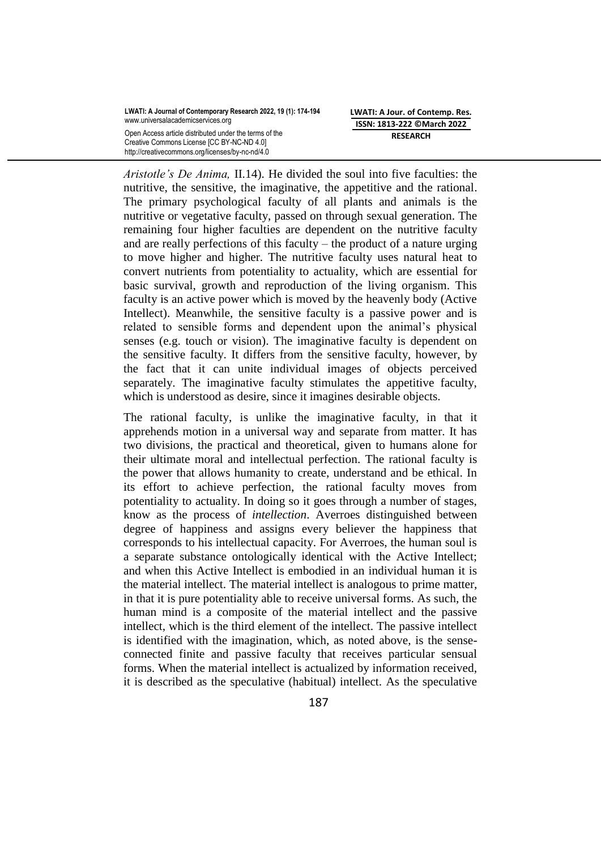Creative Commons License [CC BY-NC-ND 4.0] http://creativecommons.org/licenses/by-nc-nd/4.0 **LWATI: A Jour. of Contemp. Res. ISSN: 1813-222 ©March 2022 RESEARCH**

*Aristotle's De Anima,* II.14). He divided the soul into five faculties: the nutritive, the sensitive, the imaginative, the appetitive and the rational. The primary psychological faculty of all plants and animals is the nutritive or vegetative faculty, passed on through sexual generation. The remaining four higher faculties are dependent on the nutritive faculty and are really perfections of this faculty – the product of a nature urging to move higher and higher. The nutritive faculty uses natural heat to convert nutrients from potentiality to actuality, which are essential for basic survival, growth and reproduction of the living organism. This faculty is an active power which is moved by the heavenly body (Active Intellect). Meanwhile, the sensitive faculty is a passive power and is related to sensible forms and dependent upon the animal's physical senses (e.g. touch or vision). The imaginative faculty is dependent on the sensitive faculty. It differs from the sensitive faculty, however, by the fact that it can unite individual images of objects perceived separately. The imaginative faculty stimulates the appetitive faculty, which is understood as desire, since it imagines desirable objects.

The rational faculty, is unlike the imaginative faculty, in that it apprehends motion in a universal way and separate from matter. It has two divisions, the practical and theoretical, given to humans alone for their ultimate moral and intellectual perfection. The rational faculty is the power that allows humanity to create, understand and be ethical. In its effort to achieve perfection, the rational faculty moves from potentiality to actuality. In doing so it goes through a number of stages, know as the process of *intellection*. Averroes distinguished between degree of happiness and assigns every believer the happiness that corresponds to his intellectual capacity. For Averroes, the human soul is a separate substance ontologically identical with the Active Intellect; and when this Active Intellect is embodied in an individual human it is the material intellect. The material intellect is analogous to prime matter, in that it is pure potentiality able to receive universal forms. As such, the human mind is a composite of the material intellect and the passive intellect, which is the third element of the intellect. The passive intellect is identified with the imagination, which, as noted above, is the senseconnected finite and passive faculty that receives particular sensual forms. When the material intellect is actualized by information received, it is described as the speculative (habitual) intellect. As the speculative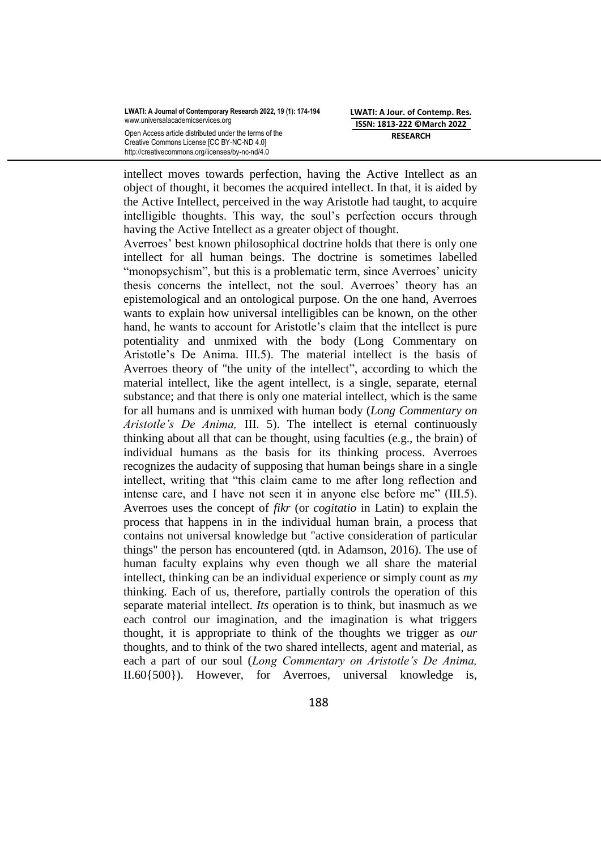**LWATI: A Journal of Contemporary Research 2022, 19 (1): 174-194** www.universalacademicservices.org

Open Access article distributed under the terms of the Creative Commons License [CC BY-NC-ND 4.0] http://creativecommons.org/licenses/by-nc-nd/4.0

**LWATI: A Jour. of Contemp. Res. ISSN: 1813-222 ©March 2022 RESEARCH**

intellect moves towards perfection, having the Active Intellect as an object of thought, it becomes the acquired intellect. In that, it is aided by the Active Intellect, perceived in the way Aristotle had taught, to acquire intelligible thoughts. This way, the soul's perfection occurs through having the Active Intellect as a greater object of thought.

Averroes' best known philosophical doctrine holds that there is only one intellect for all human beings. The doctrine is sometimes labelled "monopsychism", but this is a problematic term, since Averroes' unicity thesis concerns the intellect, not the soul. Averroes' theory has an epistemological and an ontological purpose. On the one hand, Averroes wants to explain how universal intelligibles can be known, on the other hand, he wants to account for Aristotle's claim that the intellect is pure potentiality and unmixed with the body (Long Commentary on Aristotle's De Anima. III.5). The material intellect is the basis of Averroes theory of "the unity of the intellect", according to which the material intellect, like the agent intellect, is a single, separate, eternal substance; and that there is only one material intellect, which is the same for all humans and is unmixed with human body (*Long Commentary on Aristotle's De Anima,* III. 5). The intellect is eternal continuously thinking about all that can be thought, using faculties (e.g., the brain) of individual humans as the basis for its thinking process. Averroes recognizes the audacity of supposing that human beings share in a single intellect, writing that "this claim came to me after long reflection and intense care, and I have not seen it in anyone else before me" (III.5). Averroes uses the concept of *fikr* (or *cogitatio* in Latin) to explain the process that happens in in the individual human brain, a process that contains not universal knowledge but "active consideration of particular things" the person has encountered (qtd. in [Adamson, 2](file:///C:/Users/vivian/Downloads/Averroes%20-%20Wikipedia.html%23CITEREFAdamson2016)016). The use of human faculty explains why even though we all share the material intellect, thinking can be an individual experience or simply count as *my* thinking. Each of us, therefore, partially controls the operation of this separate material intellect. *Its* operation is to think, but inasmuch as we each control our imagination, and the imagination is what triggers thought, it is appropriate to think of the thoughts we trigger as *our* thoughts, and to think of the two shared intellects, agent and material, as each a part of our soul (*Long Commentary on Aristotle's De Anima,* II.60{500}). However, for Averroes, universal knowledge is,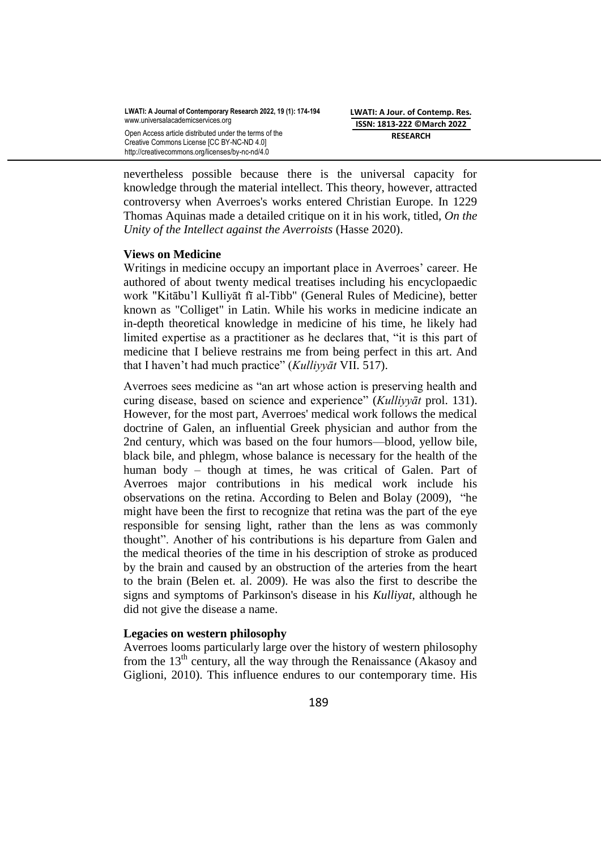**LWATI: A Jour. of Contemp. Res. ISSN: 1813-222 ©March 2022 RESEARCH**

Creative Commons License [CC BY-NC-ND 4.0] http://creativecommons.org/licenses/by-nc-nd/4.0

nevertheless possible because there is the universal capacity for knowledge through the material intellect. This theory, however, attracted controversy when Averroes's works entered Christian Europe. In 1229 [Thomas Aquinas](https://en.wikipedia.org/wiki/Thomas_Aquinas) made a detailed critique on it in his work, titled, *On the Unity of the Intellect against the Averroists* (Hasse 2020).

# **Views on Medicine**

Writings in medicine occupy an important place in Averroes' career. He authored of about twenty medical treatises including his encyclopaedic work "Kitābu'l Kulliyāt fī al-Tibb" (General Rules of Medicine), better known as "Colliget" in Latin. While his works in medicine indicate an in-depth theoretical knowledge in medicine of his time, he likely had limited expertise as a practitioner as he declares that, "it is this part of medicine that I believe restrains me from being perfect in this art. And that I haven't had much practice‖ (*Kulliyyāt* VII. 517).

Averroes sees medicine as "an art whose action is preserving health and curing disease, based on science and experience‖ (*Kulliyyāt* prol. 131). However, for the most part, Averroes' medical work follows the medical doctrine of Galen, an influential Greek physician and author from the 2nd century, which was based on [the four humors—](https://en.wikipedia.org/wiki/Humorism)blood, yellow bile, black bile, and phlegm, whose balance is necessary for the health of the human body – though at times, he was critical of Galen. Part of Averroes major contributions in his medical work include his observations on the retina. According to [Belen and Bolay](file:///C:/Users/vivian/Downloads/Averroes%20-%20Wikipedia.html%23CITEREFBelenBolay2009) (2009), "he might have been the first to recognize that [retina](https://en.wikipedia.org/wiki/Retina) was the part of the eye responsible for sensing light, rather than the [lens](https://en.wikipedia.org/wiki/Lens_(anatomy)) as was commonly thought". Another of his contributions is his departure from Galen and the medical theories of the time in his description of [stroke](https://en.wikipedia.org/wiki/Stroke) as produced by the brain and caused by an obstruction of the arteries from the heart to the brain [\(Belen et.](file:///C:/Users/vivian/Downloads/Averroes%20-%20Wikipedia.html%23CITEREFBelenBolay2009) al. 2009). He was also the first to describe the signs and symptoms of [Parkinson's disease](https://en.wikipedia.org/wiki/Parkinson%27s_disease) in his *Kulliyat*, although he did not give the disease a name.

## **Legacies on western philosophy**

Averroes looms particularly large over the history of western philosophy from the  $13<sup>th</sup>$  century, all the way through the Renaissance (Akasoy and Giglioni, 2010). This influence endures to our contemporary time. His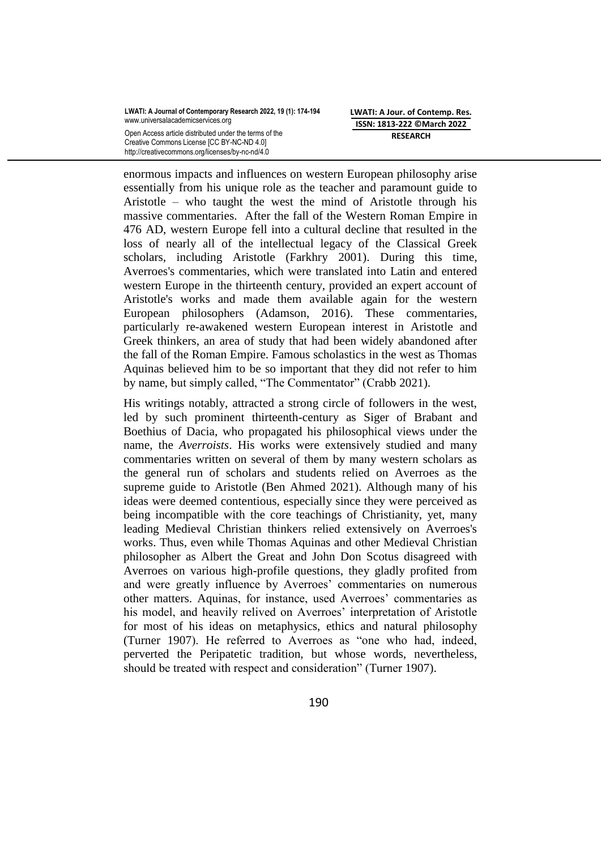**LWATI: A Journal of Contemporary Research 2022, 19 (1): 174-194** www.universalacademicservices.org

Open Access article distributed under the terms of the Creative Commons License [CC BY-NC-ND 4.0] http://creativecommons.org/licenses/by-nc-nd/4.0

**LWATI: A Jour. of Contemp. Res. ISSN: 1813-222 ©March 2022 RESEARCH**

enormous impacts and influences on western European philosophy arise essentially from his unique role as the teacher and paramount guide to Aristotle – who taught the west the mind of Aristotle through his massive commentaries. After the fall of the [Western Roman Empire](https://en.wikipedia.org/wiki/Western_Roman_Empire) in 476 AD, western Europe fell into a cultural decline that resulted in the loss of nearly all of the intellectual legacy of the Classical Greek scholars, including Aristotle (Farkhry 2001). During this time, Averroes's commentaries, which were translated into Latin and entered western Europe in the thirteenth century, provided an expert account of Aristotle's works and made them available again for the western European philosophers (Adamson, 2016). These commentaries, particularly re-awakened western European interest in Aristotle and Greek thinkers, an area of study that had been widely abandoned after the fall of the Roman Empire. Famous scholastics in the west as Thomas Aquinas believed him to be so important that they did not refer to him by name, but simply called, "The Commentator" (Crabb 2021).

His writings notably, attracted a strong circle of followers in the west, led by such prominent thirteenth-century as [Siger of Brabant](https://en.wikipedia.org/wiki/Siger_of_Brabant) and [Boethius of Dacia,](https://en.wikipedia.org/wiki/Boethius_of_Dacia) who propagated his philosophical views under the name, the *[Averroists](https://en.wikipedia.org/wiki/Latin_Averroism)*. His works were extensively studied and many commentaries written on several of them by many western scholars as the general run of scholars and students relied on Averroes as the supreme guide to Aristotle (Ben Ahmed 2021). Although many of his ideas were deemed contentious, especially since they were perceived as being incompatible with the core teachings of Christianity, yet, many leading Medieval Christian thinkers relied extensively on Averroes's works. Thus, even while Thomas Aquinas and other Medieval Christian philosopher as Albert the Great and John Don Scotus disagreed with Averroes on various high-profile questions, they gladly profited from and were greatly influence by Averroes' commentaries on numerous other matters. Aquinas, for instance, used Averroes' commentaries as his model, and heavily relived on Averroes' interpretation of Aristotle for most of his ideas on metaphysics, ethics and natural philosophy (Turner 1907). He referred to Averroes as "one who had, indeed, perverted the Peripatetic tradition, but whose words, nevertheless, should be treated with respect and consideration" (Turner 1907).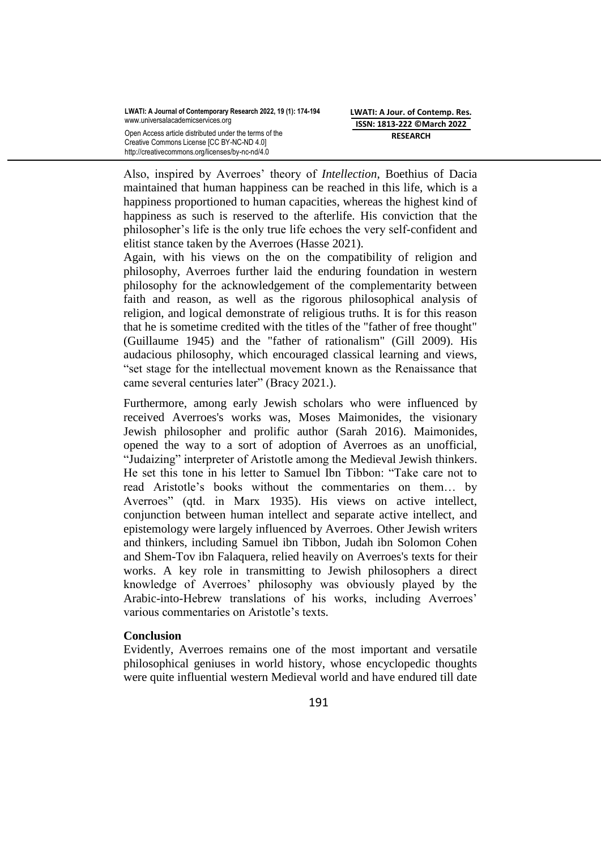Also, inspired by Averroes' theory of *Intellection*, Boethius of Dacia maintained that human happiness can be reached in this life, which is a happiness proportioned to human capacities, whereas the highest kind of happiness as such is reserved to the afterlife. His conviction that the philosopher's life is the only true life echoes the very self-confident and elitist stance taken by the Averroes (Hasse 2021).

Again, with his views on the on the compatibility of religion and philosophy, Averroes further laid the enduring foundation in western philosophy for the acknowledgement of the complementarity between faith and reason, as well as the rigorous philosophical analysis of religion, and logical demonstrate of religious truths. It is for this reason that he is sometime credited with the titles of the "father of free thought" (Guillaume 1945) and the "father of rationalism" (Gill 2009). His audacious philosophy, which encouraged classical learning and views, "set stage for the intellectual movement known as the Renaissance that came several centuries later" (Bracy 2021.).

Furthermore, among early Jewish scholars who were influenced by received Averroes's works was, Moses Maimonides, the visionary Jewish philosopher and prolific author (Sarah 2016). Maimonides, opened the way to a sort of adoption of Averroes as an unofficial, "Judaizing" interpreter of Aristotle among the Medieval Jewish thinkers. He set this tone in his letter to Samuel Ibn Tibbon: "Take care not to read Aristotle's books without the commentaries on them… by Averroes" (qtd. in Marx 1935). His views on active intellect, conjunction between human intellect and separate active intellect, and epistemology were largely influenced by Averroes. Other Jewish writers and thinkers, including [Samuel ibn Tibbon,](https://en.wikipedia.org/wiki/Samuel_ibn_Tibbon) [Judah ibn Solomon Cohen](https://en.wikipedia.org/wiki/Judah_ben_Solomon_ha-Kohen) and [Shem-Tov ibn Falaquera,](https://en.wikipedia.org/wiki/Shem-Tov_ibn_Falaquera) relied heavily on Averroes's texts for their works. A key role in transmitting to Jewish philosophers a direct knowledge of Averroes' philosophy was obviously played by the Arabic-into-Hebrew translations of his works, including Averroes' various commentaries on Aristotle's texts.

# **Conclusion**

Evidently, Averroes remains one of the most important and versatile philosophical geniuses in world history, whose encyclopedic thoughts were quite influential western Medieval world and have endured till date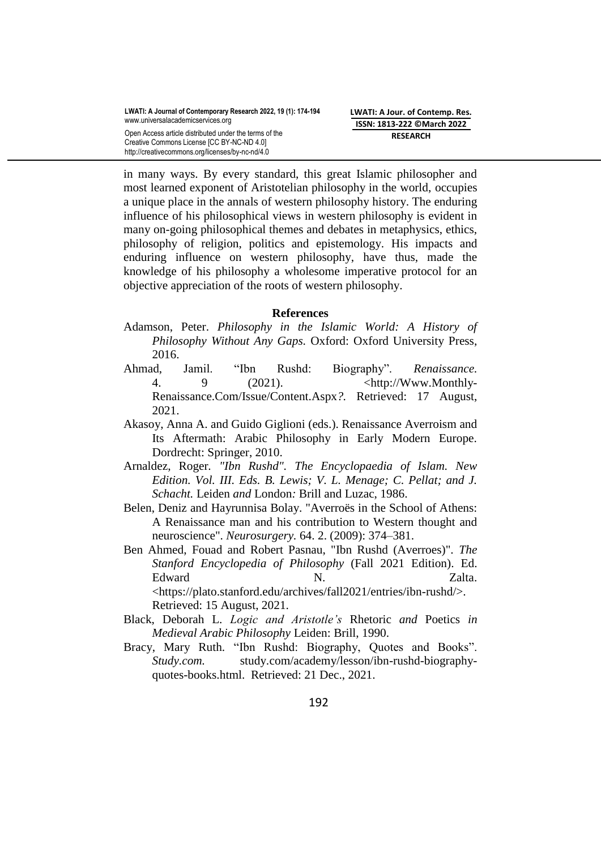in many ways. By every standard, this great Islamic philosopher and most learned exponent of Aristotelian philosophy in the world, occupies a unique place in the annals of western philosophy history. The enduring influence of his philosophical views in western philosophy is evident in many on-going philosophical themes and debates in metaphysics, ethics, philosophy of religion, politics and epistemology. His impacts and enduring influence on western philosophy, have thus, made the knowledge of his philosophy a wholesome imperative protocol for an objective appreciation of the roots of western philosophy.

## **References**

- [Adamson, Peter.](https://en.wikipedia.org/wiki/Peter_Adamson_(academic)) *[Philosophy in the Islamic World: A History of](https://books.google.com/books?id=KEpRDAAAQBAJ)  [Philosophy Without Any Gaps.](https://books.google.com/books?id=KEpRDAAAQBAJ)* Oxford: [Oxford University Press,](https://en.wikipedia.org/wiki/Oxford_University_Press) 2016.
- Ahmad, Jamil. 
"Ibn Rushd: Biography". *Renaissance*. 4. 9 (2021).  $\leftarrow$  / shttp://Www.Monthly-[Renaissance.Com/Issue/Content.Aspx](http://www.monthly-renaissance.com/Issue/Content.Aspx)*?.* Retrieved: 17 August, 2021.
- Akasoy, Anna A. and Guido Giglioni (eds.). Renaissance Averroism and Its Aftermath: Arabic Philosophy in Early Modern Europe. Dordrecht: Springer, 2010.
- [Arnaldez, Roger](https://en.wikipedia.org/wiki/Roger_Arnaldez)*. "Ibn Rushd". [The Encyclopaedia of Islam.](https://en.wikipedia.org/wiki/The_Encyclopaedia_of_Islam) New Edition. Vol. III. Eds. B. Lewis; V. L. Menage; C. Pellat; and J. Schacht.* [Leiden](https://en.wikipedia.org/wiki/Leiden) *and* [London](https://en.wikipedia.org/wiki/London)*:* [Brill](https://en.wikipedia.org/wiki/Brill_Publishers) and Luzac, 1986.
- Belen, Deniz and Hayrunnisa Bolay. "Averroës in the School of Athens: A Renaissance man and his contribution to Western thought and neuroscience". *[Neurosurgery.](https://en.wikipedia.org/wiki/Neurosurgery_(journal))* 64. 2. (2009): 374–381.
- Ben Ahmed, Fouad and Robert Pasnau, "Ibn Rushd (Averroes)". *The Stanford Encyclopedia of Philosophy* (Fall 2021 Edition). Ed. Edward N. Zalta. <https://plato.stanford.edu/archives/fall2021/entries/ibn-rushd/>. Retrieved: 15 August, 2021.
- Black, Deborah L. *Logic and Aristotle's* Rhetoric *and* Poetics *in Medieval Arabic Philosophy* Leiden: Brill, 1990.
- Bracy, Mary Ruth. "Ibn Rushd: Biography, Ouotes and Books". *Study.com.* study.com/academy/lesson/ibn-rushd-biographyquotes-books.html. Retrieved: 21 Dec., 2021.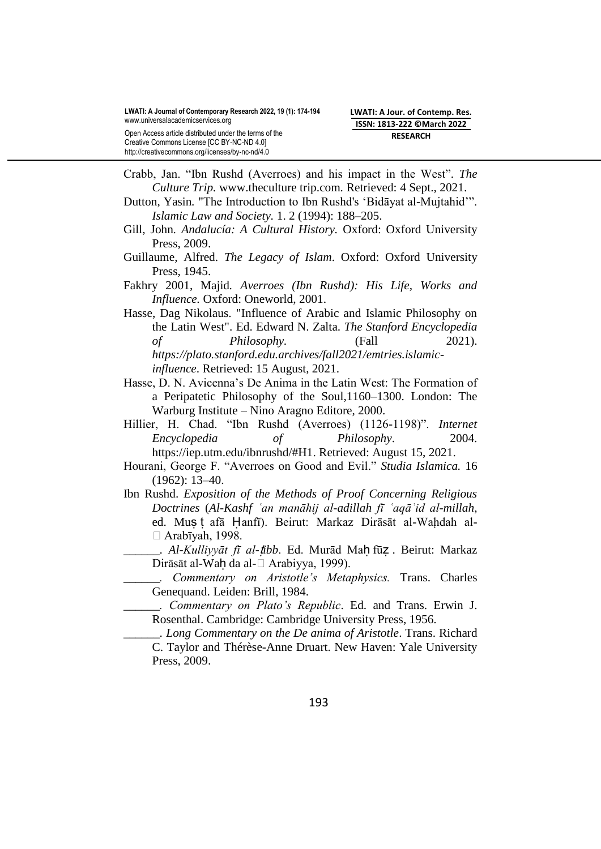Creative Commons License [CC BY-NC-ND 4.0]

http://creativecommons.org/licenses/by-nc-nd/4.0 Crabb, Jan. "Ibn Rushd (Averroes) and his impact in the West". The

*Culture Trip.* [www.theculture](http://www.theculture/) trip.com*.* Retrieved: 4 Sept., 2021. Dutton, Yasin. "The Introduction to Ibn Rushd's 'Bidayat al-Mujtahid'".

*Islamic Law and Society.* 1. 2 (1994): 188–205.

- Gill, John*. Andalucía: A Cultural History.* Oxford: [Oxford University](https://en.wikipedia.org/wiki/Oxford_University_Press)  [Press,](https://en.wikipedia.org/wiki/Oxford_University_Press) 2009.
- Guillaume, Alfred. *The Legacy of Islam*. Oxford: Oxford University Press, 1945.
- Fakhry 2001, Majid*. Averroes (Ibn Rushd): His Life, Works and Influence.* Oxford: Oneworld, 2001.
- Hasse, Dag Nikolaus. ["Influence of Arabic and Islamic Philosophy on](https://plato.stanford.edu/archives/fall2014/entries/arabic-islamic-influence/)  [the Latin West".](https://plato.stanford.edu/archives/fall2014/entries/arabic-islamic-influence/) Ed. Edward N. Zalta. *The [Stanford Encyclopedia](https://en.wikipedia.org/wiki/Stanford_Encyclopedia_of_Philosophy)  [of Philosophy.](https://en.wikipedia.org/wiki/Stanford_Encyclopedia_of_Philosophy)* (Fall 2021). *[https://plato.stanford.edu.archives/fall2021/emtries.islamic](https://plato.stanford.edu.archives/fall2021/emtries.islamic-influence)[influence](https://plato.stanford.edu.archives/fall2021/emtries.islamic-influence)*. Retrieved: 15 August, 2021.
- Hasse, D. N. Avicenna's De Anima in the Latin West: The Formation of a Peripatetic Philosophy of the Soul,1160–1300. London: The Warburg Institute – Nino Aragno Editore, 2000.
- Hillier, H. Chad. "Ibn Rushd (Averroes) (1126-1198)". *Internet Encyclopedia of Philosophy*. 2004. [https://iep.utm.edu/ibnrushd/#H1.](https://iep.utm.edu/ibnrushd/#H1) Retrieved: August 15, 2021.
- Hourani, George F. "Averroes on Good and Evil." *Studia Islamica*. 16 (1962): 13–40.
- Ibn Rushd. *Exposition of the Methods of Proof Concerning Religious Doctrines* (*Al-Kashf ʿan manāhij al-adillah fī ʿaqāʾid al-millah*, ed. Mus t afā Hanfī). Beirut: Markaz Dirāsāt al-Wahdah al- $\Box$  Arabīyah, 1998.
- \_\_\_\_\_\_*. Al-Kulliyyāt fī al-*ṭ*ibb*. Ed. Murād Maḥ fūẓ . Beirut: Markaz Dirāsāt al-Wah da al-□ Arabiyya, 1999).
	- \_\_\_\_\_\_*. Commentary on Aristotle's Metaphysics.* Trans. Charles Genequand. Leiden: Brill, 1984.
	- \_\_\_\_\_\_*. Commentary on Plato's Republic*. Ed. and Trans. Erwin J. Rosenthal. Cambridge: Cambridge University Press, 1956.
- \_\_\_\_\_\_*. Long Commentary on the De anima of Aristotle*. Trans. Richard C. Taylor and Thérèse-Anne Druart. New Haven: Yale University Press, 2009.